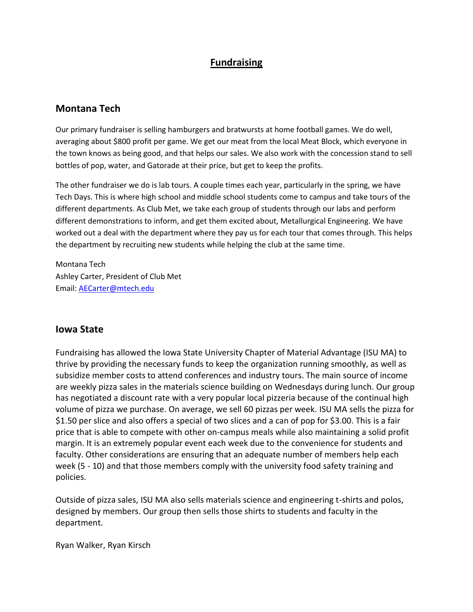## **Fundraising**

### **Montana Tech**

Our primary fundraiser is selling hamburgers and bratwursts at home football games. We do well, averaging about \$800 profit per game. We get our meat from the local Meat Block, which everyone in the town knows as being good, and that helps our sales. We also work with the concession stand to sell bottles of pop, water, and Gatorade at their price, but get to keep the profits.

The other fundraiser we do is lab tours. A couple times each year, particularly in the spring, we have Tech Days. This is where high school and middle school students come to campus and take tours of the different departments. As Club Met, we take each group of students through our labs and perform different demonstrations to inform, and get them excited about, Metallurgical Engineering. We have worked out a deal with the department where they pay us for each tour that comes through. This helps the department by recruiting new students while helping the club at the same time.

Montana Tech Ashley Carter, President of Club Met Email: [AECarter@mtech.edu](mailto:AECarter@mtech.edu)

#### **Iowa State**

Fundraising has allowed the Iowa State University Chapter of Material Advantage (ISU MA) to thrive by providing the necessary funds to keep the organization running smoothly, as well as subsidize member costs to attend conferences and industry tours. The main source of income are weekly pizza sales in the materials science building on Wednesdays during lunch. Our group has negotiated a discount rate with a very popular local pizzeria because of the continual high volume of pizza we purchase. On average, we sell 60 pizzas per week. ISU MA sells the pizza for \$1.50 per slice and also offers a special of two slices and a can of pop for \$3.00. This is a fair price that is able to compete with other on-campus meals while also maintaining a solid profit margin. It is an extremely popular event each week due to the convenience for students and faculty. Other considerations are ensuring that an adequate number of members help each week (5 - 10) and that those members comply with the university food safety training and policies.

Outside of pizza sales, ISU MA also sells materials science and engineering t-shirts and polos, designed by members. Our group then sells those shirts to students and faculty in the department.

Ryan Walker, Ryan Kirsch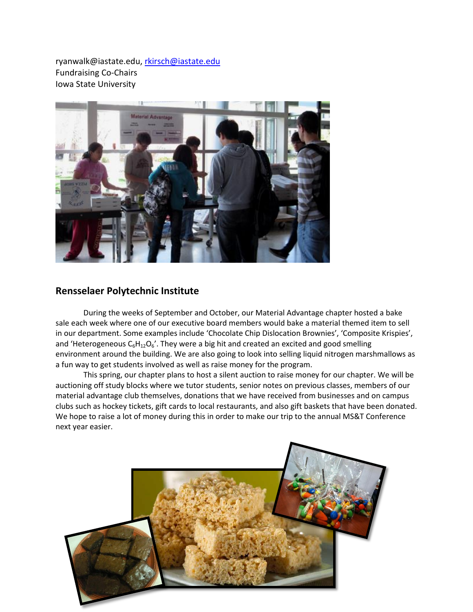ryanwalk@iastate.edu, [rkirsch@iastate.edu](mailto:rkirsch@iastate.edu) Fundraising Co-Chairs Iowa State University



#### **Rensselaer Polytechnic Institute**

During the weeks of September and October, our Material Advantage chapter hosted a bake sale each week where one of our executive board members would bake a material themed item to sell in our department. Some examples include 'Chocolate Chip Dislocation Brownies', 'Composite Krispies', and 'Heterogeneous  $C_6H_{12}O_6$ '. They were a big hit and created an excited and good smelling environment around the building. We are also going to look into selling liquid nitrogen marshmallows as a fun way to get students involved as well as raise money for the program.

This spring, our chapter plans to host a silent auction to raise money for our chapter. We will be auctioning off study blocks where we tutor students, senior notes on previous classes, members of our material advantage club themselves, donations that we have received from businesses and on campus clubs such as hockey tickets, gift cards to local restaurants, and also gift baskets that have been donated. We hope to raise a lot of money during this in order to make our trip to the annual MS&T Conference next year easier.

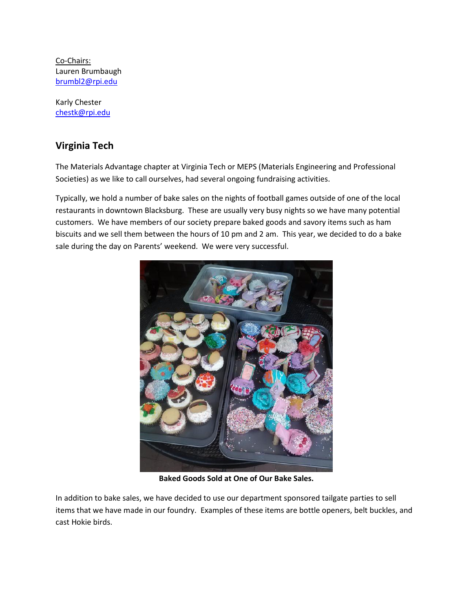Co-Chairs: Lauren Brumbaugh [brumbl2@rpi.edu](mailto:brumbl2@rpi.edu)

Karly Chester [chestk@rpi.edu](mailto:chestk@rpi.edu)

### **Virginia Tech**

The Materials Advantage chapter at Virginia Tech or MEPS (Materials Engineering and Professional Societies) as we like to call ourselves, had several ongoing fundraising activities.

Typically, we hold a number of bake sales on the nights of football games outside of one of the local restaurants in downtown Blacksburg. These are usually very busy nights so we have many potential customers. We have members of our society prepare baked goods and savory items such as ham biscuits and we sell them between the hours of 10 pm and 2 am. This year, we decided to do a bake sale during the day on Parents' weekend. We were very successful.



**Baked Goods Sold at One of Our Bake Sales.**

In addition to bake sales, we have decided to use our department sponsored tailgate parties to sell items that we have made in our foundry. Examples of these items are bottle openers, belt buckles, and cast Hokie birds.